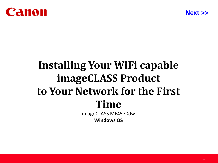<span id="page-0-0"></span>



# **Installing Your WiFi capable imageCLASS Product to Your Network for the First Time**

imageCLASS MF4570dw **Windows OS**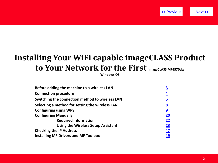

## <span id="page-1-0"></span>**Installing Your WiFi capable imageCLASS Product to Your Network for the First imageCLASS MF4570dw**

**Windows OS**

| Before adding the machine to a wireless LAN     | <u>3</u>  |
|-------------------------------------------------|-----------|
| <b>Connection procedure</b>                     | <u>4</u>  |
| Switching the connection method to wireless LAN | <u>5</u>  |
| Selecting a method for setting the wireless LAN | <u>8</u>  |
| <b>Configuring using WPS</b>                    | <u>9</u>  |
| <b>Configuring Manually</b>                     | <b>20</b> |
| <b>Required Information</b>                     | 22        |
| <b>Using the Wireless Setup Assistant</b>       | 23        |
| <b>Checking the IP Address</b>                  | 47        |
| <b>Installing MF Drivers and MF Toolbox</b>     | 49        |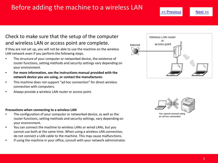## <span id="page-2-0"></span>Before adding the machine to a wireless LAN The Rext Assembly to the Mext >>

### Check to make sure that the setup of the computer and wireless LAN or access point are complete.

If they are not set up, you will not be able to use the machine on the wireless LAN network even if you perform the following steps.

- The structure of your computer or networked device, the existence of router functions, setting methods and security settings vary depending on your environment.
- **For more information, see the instructions manual provided with the network device you are using, or contact the manufacturer.**
- This machine does not support "ad hoc connection" for direct wireless connection with computers.
- Always provide a wireless LAN router or access point.

#### **Precautions when connecting to a wireless LAN**

- The configuration of your computer or networked device, as well as the router functions, setting methods and security settings, vary depending on your environment.
- You can connect the machine to wireless LANs or wired LANs, but you cannot use both at the same time. When using a wireless LAN connection, do not connect a LAN cable to the machine. This may cause malfunctions.
- If using the machine in your office, consult with your network administrator.





You cannot connect using an ad hoc connection.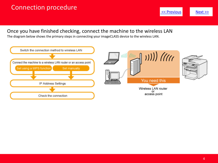## <span id="page-3-0"></span>Connection procedure experience of the set of the set of the set of the set of the set of the set of the set of the set of the set of the set of the set of the set of the set of the set of the set of the set of the set of

Once you have finished checking, connect the machine to the wireless LAN

The diagram below shows the primary steps in connecting your imageCLASS device to the wireless LAN.

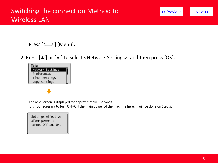- <span id="page-4-0"></span>1. Press  $[\ ]$  (Menu).
- 2. Press  $[ \triangle ]$  or  $[ \triangledown ]$  to select <Network Settings>, and then press [OK].



The next screen is displayed for approximately 5 seconds.

It is not necessary to turn OFF/ON the main power of the machine here. It will be done on Step 5.

Settings effective after power is turned OFF and ON.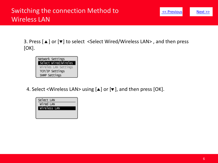<span id="page-5-0"></span>3. Press [▲] or [▼] to select <Select Wired/Wireless LAN>, and then press [OK].



4. Select <Wireless LAN> using  $[\triangle]$  or  $[\triangledown]$ , and then press [OK].

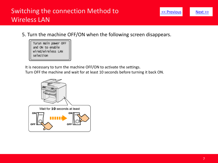## <span id="page-6-0"></span>Switching the connection Method to Wireless LAN

5. Turn the machine OFF/ON when the following screen disappears.

| Turun main power OFF |  |  |
|----------------------|--|--|
| and ON to enable     |  |  |
| wired/wireless LAN   |  |  |
| selection            |  |  |
|                      |  |  |

It is necessary to turn the machine OFF/ON to activate the settings.

Turn OFF the machine and wait for at least 10 seconds before turning it back ON.

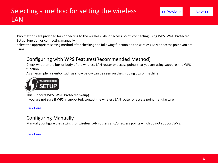<span id="page-7-0"></span>Two methods are provided for connecting to the wireless LAN or access point, connecting using WPS (Wi-Fi Protected Setup) function or connecting manually.

Select the appropriate setting method after checking the following function on the wireless LAN or access point you are using.

### Configuring with WPS Features(Recommended Method)

Check whether the box or body of the wireless LAN router or access points that you are using supports the WPS function.

As an example, a symbol such as show below can be seen on the shipping box or machine.



This supports WPS (Wi-Fi Protected Setup). If you are not sure if WPS is supported, contact the wireless LAN router or access point manufacturer.

#### [Click Here](#page-8-0)

### Configuring Manually

Manually configure the settings for wireless LAN routers and/or access points which do not support WPS.

#### [Click Here](#page-19-0)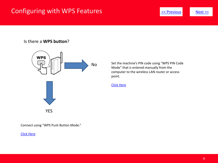## <span id="page-8-0"></span>Configuring with WPS Features

#### Is there a **WPS button**?



Set the machine's PIN code using "WPS PIN Code Mode" that is entered manually from the computer to the wireless LAN router or access point.

[Click Here](#page-14-0)

Connect using "WPS Push Button Mode."

[Click Here](#page-9-0)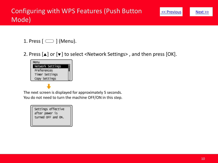- <span id="page-9-0"></span>1. Press  $[$   $\Box$   $]$  (Menu).
- 2. Press  $[\triangle]$  or  $[\triangledown]$  to select <Network Settings>, and then press [OK].



The next screen is displayed for approximately 5 seconds. You do not need to turn the machine OFF/ON in this step.

| Settings effective |
|--------------------|
| after power is     |
| turned OFF and ON. |
|                    |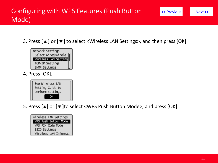<span id="page-10-0"></span>3. Press [▲] or [▼] to select <Wireless LAN Settings>, and then press [OK].



4. Press [OK].



5. Press  $\lceil \blacktriangle \rceil$  or  $\lceil \blacktriangledown \rceil$  to select <WPS Push Button Mode>, and press [OK]

Wireless LAN Settings WPS Push Button Mode WPS PIN Code Mode SSID Settings Wireless LAN Informa...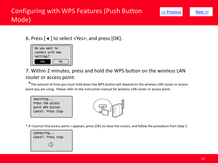<span id="page-11-0"></span>



### 7. Within 2 minutes, press and hold the WPS button on the wireless LAN router or access point.

\*The amount of time you must hold down the WPS button will depend on the wireless LAN router or access point you are using. Please refer to the instruction manual for wireless LAN router or access point.





\* If <Cannot find access point.> appears, press [OK] to close the screen, and follow the procedure from Step 5.

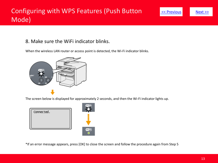### <span id="page-12-0"></span>8. Make sure the WiFi indicator blinks.

When the wireless LAN router or access point is detected, the Wi-Fi indicator blinks.



The screen below is displayed for approximately 2 seconds, and then the Wi-Fi indicator lights up.



\*If an error message appears, press [OK] to close the screen and follow the procedure again from Step 5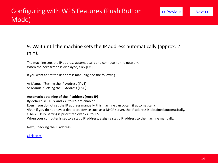### <span id="page-13-0"></span>9. Wait until the machine sets the IP address automatically (approx. 2 min).

The machine sets the IP address automatically and connects to the network. When the next screen is displayed, click [OK].

If you want to set the IP address manually, see the following.

•e-Manual "Setting the IP Address (IPv4) •e-Manual "Setting the IP Address (IPv6)

#### **Automatic obtaining of the IP address (Auto IP)**

By default, <DHCP> and <Auto IP> are enabled Even if you do not set the IP address manually, this machine can obtain it automatically. •Even if you do not have a dedicated device such as a DHCP server, the IP address is obtained automatically. •The <DHCP> setting is prioritized over <Auto IP> When your computer is set to a static IP address, assign a static IP address to the machine manually.

Next, Checking the IP address

#### [Click Here](#page-46-0)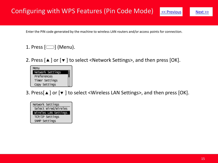<span id="page-14-0"></span>Enter the PIN code generated by the machine to wireless LAN routers and/or access points for connection.

### 1. Press  $[\ ]$  (Menu).

2. Press  $[\triangle]$  or  $[\triangledown]$  to select <Network Settings>, and then press [OK].

| Menu             |  |
|------------------|--|
| Network Settings |  |
| Preferences      |  |
| Timer Settings   |  |
| Copy Settings    |  |

3. Press[▲] or [▼] to select <Wireless LAN Settings>, and then press [OK].

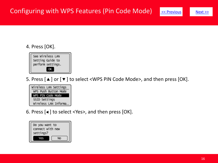

### <span id="page-15-0"></span>4. Press [OK].



5. Press  $[\triangle]$  or  $[\triangledown]$  to select <WPS PIN Code Mode>, and then press [OK].

Wireless LAN Settings WPS Push Button Mode WPS PIN Code Mode SSID Settings wireless LAN Informa...

6. Press  $\lbrack \blacktriangleleft \rbrack$  to select <Yes>, and then press  $\lbrack \mathsf{OK} \rbrack$ .

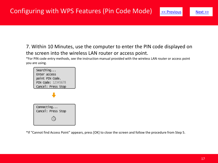<span id="page-16-0"></span>7. Within 10 Minutes, use the computer to enter the PIN code displayed on the screen into the wireless LAN router or access point.

\*For PIN code entry methods, see the instruction manual provided with the wireless LAN router or access point you are using.



\*If "Cannot find Access Point" appears, press [OK] to close the screen and follow the procedure from Step 5.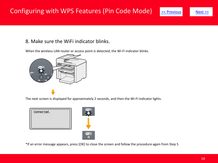### <span id="page-17-0"></span>8. Make sure the WiFi indicator blinks.

When the wireless LAN router or access point is detected, the Wi-Fi indicator blinks.



The next screen is displayed for approximately 2 seconds, and then the Wi-Fi indicator lights.



\*If an error message appears, press [OK] to close the screen and follow the procedure again from Step 5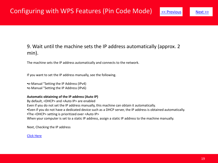### <span id="page-18-0"></span>9. Wait until the machine sets the IP address automatically (approx. 2 min).

The machine sets the IP address automatically and connects to the network.

If you want to set the IP address manually, see the following.

•e-Manual "Setting the IP Address (IPv4) •e-Manual "Setting the IP Address (IPv6)

#### **Automatic obtaining of the IP address (Auto IP)**

By default, <DHCP> and <Auto IP> are enabled Even if you do not set the IP address manually, this machine can obtain it automatically. •Even if you do not have a dedicated device such as a DHCP server, the IP address is obtained automatically. •The <DHCP> setting is prioritized over <Auto IP> When your computer is set to a static IP address, assign a static IP address to the machine manually.

Next, Checking the IP address

#### [Click Here](#page-46-0)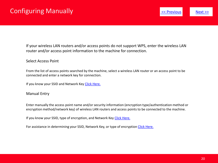<span id="page-19-0"></span>If your wireless LAN routers and/or access points do not support WPS, enter the wireless LAN router and/or access point information to the machine for connection.

#### Select Access Point

From the list of access points searched by the machine, select a wireless LAN router or an access point to be connected and enter a network key for connection.

If you know your SSID and Network Key [Click Here.](#page-27-0)

#### Manual Entry

Enter manually the access point name and/or security information (encryption type/authentication method or encryption method/network key) of wireless LAN routers and access points to be connected to the machine.

If you know your SSID, type of encryption, and Network Key [Click Here.](#page-36-0)

For assistance in determining your SSID, Network Key, or type of encryption [Click Here.](#page-20-0)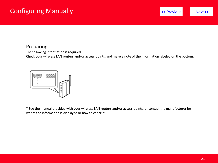## <span id="page-20-0"></span>Configuring Manually

#### Preparing

The following information is required.

Check your wireless LAN routers and/or access points, and make a note of the information labeled on the bottom.



\* See the manual provided with your wireless LAN routers and/or access points, or contact the manufacturer for where the information is displayed or how to check it.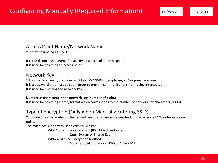#### <span id="page-21-0"></span>Access Point Name/Network Name

\* It may be labeled as "SSID."

It is the distinguished name for specifying a particular access point. It is used for selecting an access point.

#### Network Key

\*It is also called encryption key, WEP key, WPA/WPA2 passphrase, PSK or pre-shared key. It is a password that must be set in order to prevent communications from being intercepted. It is used for entering the network key.

#### **Number of characters in the network key (number of digits)**

It is used for selecting a entry format which corresponds to the number of network key characters (digits)

### Type of Encryption (Only when Manually Entering SSID)

You write down here what is the network key that is currently specified for the wireless LAN router or access point.

The machines supports WEP or WPA/WPA2-PSK.

WEP Authentication Method (802.11 Authentication) Open System or Shared Key WPA/WPA2-PSK Encryption Method Automatic (AES-CCMP or TKIP) or AES-CCMP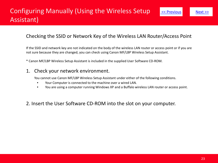### <span id="page-22-0"></span>Checking the SSID or Network Key of the Wireless LAN Router/Access Point

If the SSID and network key are not indicated on the body of the wireless LAN router or access point or if you are not sure because they are changed, you can check using Canon MF/LBP Wireless Setup Assistant.

\* Canon MF/LBP Wireless Setup Assistant is included in the supplied User Software CD-ROM.

### 1. Check your network environment.

You cannot use Canon MF/LBP Wireless Setup Assistant under either of the following conditions.

- Your Computer is connected to the machine over a wired LAN.
- You are using a computer running Windows XP and a Buffalo wireless LAN router or access point.

#### 2. Insert the User Software CD-ROM into the slot on your computer.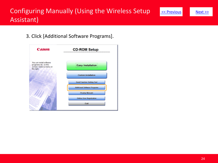<span id="page-23-0"></span>3. Click [Additional Software Programs].

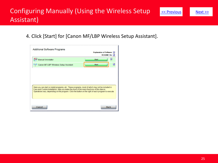<span id="page-24-0"></span>4. Click [Start] for [Canon MF/LBP Wireless Setup Assistant].

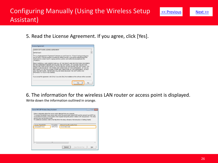<span id="page-25-0"></span>5. Read the License Agreement. If you agree, click [Yes].



6. The information for the wireless LAN router or access point is displayed.

Write down the information outlined in orange.

| process may vary by printer readel. |            |                                                                                                                  |
|-------------------------------------|------------|------------------------------------------------------------------------------------------------------------------|
|                                     |            | For additional assistance, refer to the help file for the setup solowere or the instructions in Getting Started. |
| Access PointSSID1                   | Encryption | Natural: Kee (Encounting Eac).                                                                                   |
| BarnpleEFGHU                        | WPA-PSK    | 543210EDCBA                                                                                                      |
|                                     |            |                                                                                                                  |
|                                     |            |                                                                                                                  |
|                                     |            |                                                                                                                  |
|                                     |            |                                                                                                                  |
|                                     |            |                                                                                                                  |
|                                     |            |                                                                                                                  |
|                                     |            |                                                                                                                  |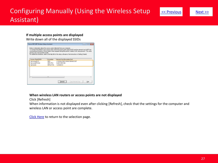#### <span id="page-26-0"></span>**If multiple access points are displayed**

Write down all of the displayed SSIDs

| Canon MF/LBP Wireless Setup Assistant |                |                                                                                                                                                                                                                                                                                                                                                                                                                               | - - - |
|---------------------------------------|----------------|-------------------------------------------------------------------------------------------------------------------------------------------------------------------------------------------------------------------------------------------------------------------------------------------------------------------------------------------------------------------------------------------------------------------------------|-------|
| process max vary by printer readel.   |                | Below is information about the access points detected from your computer.<br>To connect the printer to your access point, enter the access point name ISSIDI and the network losy (WEP losy<br>or pampheane) exactly as shown below when required during the penter's weeken LAN setup process. The petup<br>For additional assistance, refer to the help file for the setup soloware or the instructions in Getting Started. |       |
| Access PointSSID1                     | Encretion.     | Network Kee (Encryption Key).                                                                                                                                                                                                                                                                                                                                                                                                 |       |
| Sample4BCD                            | WFA.           | 01234567890123456789ABCDEF                                                                                                                                                                                                                                                                                                                                                                                                    |       |
| SampleEFGHU                           | WFA-PSK        | 543210EDCRA                                                                                                                                                                                                                                                                                                                                                                                                                   |       |
| SampleK                               | WF8.3 PSK      | 1.2344RCD                                                                                                                                                                                                                                                                                                                                                                                                                     |       |
| ×                                     | $\overline{1}$ |                                                                                                                                                                                                                                                                                                                                                                                                                               |       |
|                                       |                | Copy Network Key<br>Finfanzh                                                                                                                                                                                                                                                                                                                                                                                                  | Què   |

#### **When wireless LAN routers or access points are not displayed**

Click [Refresh]

When information is not displayed even after clicking [Refresh], check that the settings for the computer and wireless LAN or access point are complete.

[Click Here](#page-19-0) to return to the selection page.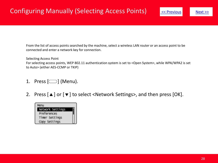<span id="page-27-0"></span>From the list of access points searched by the machine, select a wireless LAN router or an access point to be connected and enter a network key for connection.

Selecting Access Point

For selecting access points, WEP 802.11 authentication system is set to <Open System>, while WPA/WPA2 is set to Auto> (either AES-CCMP or TKIP)

- 1. Press  $[\Box]$  (Menu).
- 2. Press  $[\triangle]$  or  $[\triangledown]$  to select <Network Settings>, and then press [OK].

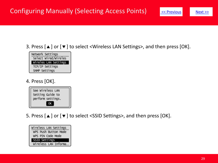<span id="page-28-0"></span>



### 4. Press [OK].



5. Press  $[\triangle]$  or  $[\triangledown]$  to select <SSID Settings>, and then press [OK].

Wireless LAN Settings WPS Push Button Mode WPS PIN Code Mode SSID Settings Wireless LAN Informa...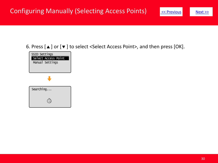<span id="page-29-0"></span>6. Press  $[\triangle]$  or  $[\triangledown]$  to select <Select Access Point>, and then press [OK].

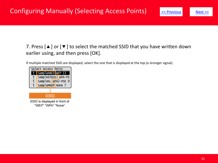### <span id="page-30-0"></span>7. Press  $[\triangle]$  or  $[\triangle]$  to select the matched SSID that you have written down earlier using, and then press [OK].

If multiple matched SSID are displayed, select the one that is displayed at the top (a stronger signal).

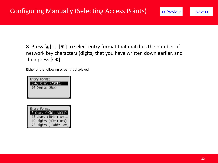<span id="page-31-0"></span>8. Press  $\lbrack \blacktriangle \rbrack$  or  $\lbrack \blacktriangledown \rbrack$  to select entry format that matches the number of network key characters (digits) that you have written down earlier, and then press [OK].

Either of the following screens is displayed.



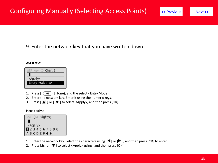### <span id="page-32-0"></span>9. Enter the network key that you have written down.

#### **ASCII text**



- 1. Press  $\left[\begin{array}{c} \ast \\ \ast \end{array}\right]$  (Tone), and the select <Entry Mode>.
- 2. Enter the network key. Enter it using the numeric keys.
- 3. Press  $\Box$  or  $\Box$  to select <Apply>, and then press  $[OK]$ .

#### **Hexadecimal**



- 1. Enter the network key. Select the characters using  $[\blacktriangleleft]$  or  $[\blacktriangleright]$ , and then press [OK] to enter.
- 2. Press  $[\triangle]$  or  $[\triangledown]$  to select <Apply> using, and then press  $[OK]$ .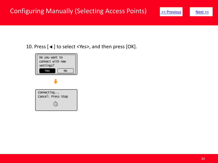## <span id="page-33-0"></span>Configuring Manually (Selecting Access Points)

10. Press  $[ \blacktriangleleft ]$  to select <Yes>, and then press  $[OK]$ .

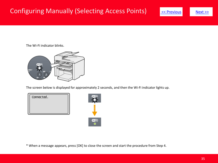## <span id="page-34-0"></span>Configuring Manually (Selecting Access Points)



The Wi-Fi indicator blinks.



The screen below is displayed for approximately 2 seconds, and then the Wi-Fi indicator lights up.





\* When a message appears, press [OK] to close the screen and start the procedure from Step 4.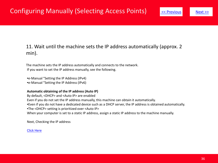### <span id="page-35-0"></span>11. Wait until the machine sets the IP address automatically (approx. 2 min).

The machine sets the IP address automatically and connects to the network. If you want to set the IP address manually, see the following.

•e-Manual "Setting the IP Address (IPv4) •e-Manual "Setting the IP Address (IPv6)

#### **Automatic obtaining of the IP address (Auto IP)**

By default, <DHCP> and <Auto IP> are enabled Even if you do not set the IP address manually, this machine can obtain it automatically. •Even if you do not have a dedicated device such as a DHCP server, the IP address is obtained automatically. •The <DHCP> setting is prioritized over <Auto IP> When your computer is set to a static IP address, assign a static IP address to the machine manually.

Next, Checking the IP address

[Click Here](#page-46-0)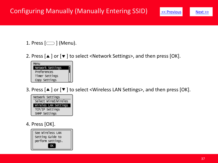<span id="page-36-0"></span>1. Press  $[\Box]$  (Menu).

2. Press  $[\triangle]$  or  $[\triangledown]$  to select <Network Settings>, and then press [OK].



3. Press  $[4]$  or  $[4]$  to select <Wireless LAN Settings>, and then press [OK].



### 4. Press [OK].

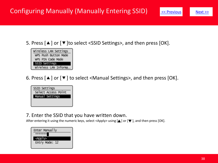## <span id="page-37-0"></span>Configuring Manually (Manually Entering SSID)





6. Press  $[$   $\blacktriangle$   $]$  or  $[$   $\blacktriangledown$   $]$  to select <Manual Settings>, and then press  $[OK]$ .



#### 7. Enter the SSID that you have written down.

After entering it using the numeric keys, select <Apply> using  $[ \triangle ]$  or  $[ \blacktriangledown ]$ , and then press  $[OK]$ .

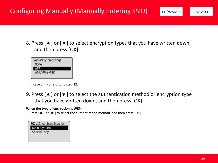## <span id="page-38-0"></span>Configuring Manually (Manually Entering SSID)

8. Press  $[$   $\blacktriangle$  ] or  $[$   $\blacktriangledown$  ] to select encryption types that you have written down, and then press [OK].



In case of <None>, go to step 12.

9. Press  $\lceil \blacktriangle \rceil$  or  $\lceil \blacktriangledown \rceil$  to select the authentication method or encryption type that you have written down, and then press [OK].

#### **When the type of encryption is WEP**

1. Press  $\Box$  or  $\nabla$  i to select the authentication method, and then press  $[OK]$ .

| 802.11 Authentication |  |
|-----------------------|--|
| Open System           |  |
| Shared Key            |  |
|                       |  |
|                       |  |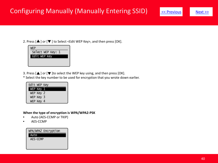## <span id="page-39-0"></span>Configuring Manually (Manually Entering SSID) Several Section And [Next >>](#page-40-0)

2. Press  $[\triangle]$  or  $[\triangledown]$  to Select <Edit WEP Key>, and then press  $[OK]$ .



3. Press  $[\triangle]$  or  $[\triangledown]$  to select the WEP key using, and then press [OK].

\* Select the key number to be used for encryption that you wrote down earlier.

| Edit WEP Key |  |
|--------------|--|
| WEP Key 1    |  |
| WEP Key 2    |  |
| WEP Key 3    |  |
| WEP Key 4    |  |

#### **When the type of encryption is WPA/WPA2-PSK**

- Auto (AES-CCMP or TKIP)
- AES-CCMP

#### WPA/WPA2 Encryption Auto AES-COMP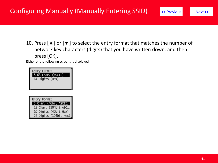<span id="page-40-0"></span>10. Press  $[\triangle]$  or  $[\triangledown]$  to select the entry format that matches the number of network key characters (digits) that you have written down, and then press [OK].

Either of the following screens is displayed.

| Entry Format       |
|--------------------|
| 8-63 Char. (ASCII) |
| 64 Digits (Hex)    |
|                    |
|                    |

| Entry Format           |
|------------------------|
| 5 Char. (40bit ASCII)  |
| 13 Char. (104bit ASC   |
| 10 Digits (40bit Hex)  |
| 26 Digits (104bit Hex) |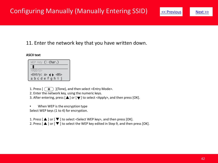### <span id="page-41-0"></span>11. Enter the network key that you have written down.

#### **ASCII text**

| WEP Key (5 <b>Char.)</b>            |  |
|-------------------------------------|--|
|                                     |  |
| $\le$ ADD I V $>$                   |  |
| <entry: a=""> (→ <bs></bs></entry:> |  |
| abcdefghi                           |  |

1. Press  $\left[\begin{array}{cc} \overline{\ast} \\ \end{array}\right]$  (Tone), and then select <Entry Mode>.

2. Enter the network key, using the numeric keys.

3. After entering, press  $\Box$  or  $\Box$  to select <Apply>, and then press  $[OK]$ .

• When WEP is the encryption type Select WEP keys (1 to 4) for encryption.

1. Press  $\lceil \blacktriangle \rceil$  or  $\lceil \blacktriangledown \rceil$  to select < Select WEP key>, and then press  $\lceil \text{OK} \rceil$ .

2. Press  $\left[\begin{array}{c} \blacktriangle \end{array}\right]$  or  $\left[\begin{array}{c} \blacktriangledown \end{array}\right]$  to select the WEP key edited in Step 9, and then press  $\left[OK\right]$ .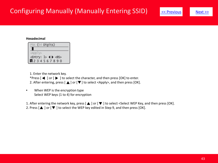## <span id="page-42-0"></span>Configuring Manually (Manually Entering SSID) Solutions Sext >>



#### **Hexadecimal**

| PSK (64 Digits)                                                                          |  |
|------------------------------------------------------------------------------------------|--|
|                                                                                          |  |
| <apply></apply>                                                                          |  |
| <entry: <math="">\triangleright &lt; <math>\blacktriangleright</math> <bs></bs></entry:> |  |
| 1234567890                                                                               |  |

1. Enter the network key. \*Press  $[$   $\blacktriangleleft$  ] or  $[$   $\blacktriangleright$  ] to select the character, and then press  $[OK]$  to enter. 2. After entering, press  $[\triangle]$  or  $[\triangledown]$  to select <Apply>, and then press [OK].

• When WEP is the encryption type Select WEP keys (1 to 4) for encryption

1. After entering the network key, press  $[\triangle]$  or  $[\blacktriangledown]$  to select <Select WEP Key, and then press [OK]. 2. Press  $[\triangle]$  or  $[\nabla]$  to select the WEP key edited in Step 9, and then press [OK].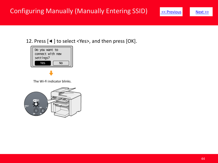<span id="page-43-0"></span>



The Wi-Fi indicator blinks.

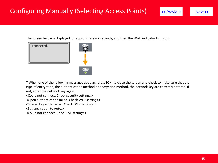<span id="page-44-0"></span>The screen below is displayed for approximately 2 seconds, and then the Wi-Fi indicator lights up.



\* When one of the following messages appears, press [OK] to close the screen and check to make sure that the type of encryption, the authentication method or encryption method, the network key are correctly entered. If not, enter the network key again.

<Could not connect. Check security settings.>

<Open authentication failed. Check WEP settings.>

<Shared Key auth. Failed. Check WEP settings.>

<Set encryption to Auto.>

<Could not connect. Check PSK settings.>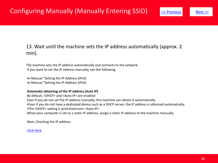### <span id="page-45-0"></span>13. Wait until the machine sets the IP address automatically (approx. 2 min).

The machine sets the IP address automatically and connects to the network. If you want to set the IP address manually, see the following.

•e-Manual "Setting the IP Address (IPv4) •e-Manual "Setting the IP Address (IPv6)

#### **Automatic obtaining of the IP address (Auto IP)**

By default, <DHCP> and <Auto IP> are enabled Even if you do not set the IP address manually, this machine can obtain it automatically. •Even if you do not have a dedicated device such as a DHCP server, the IP address is obtained automatically. •The <DHCP> setting is prioritized over <Auto IP> When your computer is set to a static IP address, assign a static IP address to the machine manually.

Next, Checking the IP address

[Click Here](#page-46-0)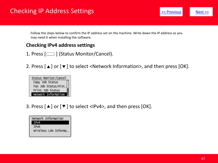## <span id="page-46-0"></span>Checking IP Address Settings **Example 2018** 19 and 2019 19 and 2019 19 and 2019 19 and 2019 19 and 2019 19 and 201



Follow the steps below to confirm the IP address set on the machine. Write down the IP address as you may need it when installing the software.

### **Checking IPv4 address settings**

- 1. Press  $[\n\bigcirc]$  (Status Monitor/Cancel).
- 2. Press  $[\blacksquare]$  or  $[\blacksquare]$  to select <Network Information>, and then press [OK].



3. Press  $[\triangle]$  or  $[\triangledown]$  to select <IPv4>, and then press  $[OK]$ .

Network Information IP<sub>v4</sub> IPv6 wireless LAN Informa...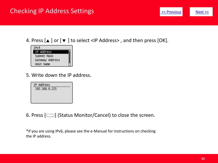### <span id="page-47-0"></span>Checking IP Address Settings **Example 2018** 19 and 2019 19 and 2019 19 and 2019 19 and 2019 19 and 2019 19 and 201



4. Press  $[\triangle]$  or  $[\blacktriangledown]$  to select <IP Address>, and then press [OK].



5. Write down the IP address.



6. Press  $[\nabla]$  (Status Monitor/Cancel) to close the screen.

\*If you are using IPv6, please see the e-Manual for instructions on checking the IP address.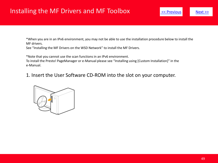<span id="page-48-0"></span>\*When you are in an IPv6 environment, you may not be able to use the installation procedure below to install the MF drivers.

See "Installing the MF Drivers on the WSD Network" to install the MF Drivers.

\*Note that you cannot use the scan functions in an IPv6 environment.

To install the Presto! PageManager or e-Manual please see "Installing using [Custom Installation]" in the e-Manual.

1. Insert the User Software CD-ROM into the slot on your computer.

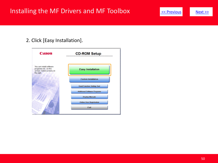### <span id="page-49-0"></span>Installing the MF Drivers and MF Toolbox  $\frac{1}{\leq \text{Previous}}$

### 2. Click [Easy Installation].

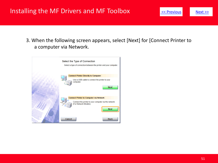## <span id="page-50-0"></span>Installing the MF Drivers and MF Toolbox  $\leq$  **Previous** [Next >>](#page-51-0)



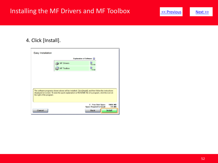## <span id="page-51-0"></span>Installing the MF Drivers and MF Toolbox  $\leq$  Previous [Next >>](#page-52-0)

### 4. Click [Install].

| Easy Installation         |                                                                                                                                                                                                             |                                                        |                           |
|---------------------------|-------------------------------------------------------------------------------------------------------------------------------------------------------------------------------------------------------------|--------------------------------------------------------|---------------------------|
|                           | <b>Explanation of Software: [1]</b>                                                                                                                                                                         |                                                        |                           |
|                           | <b>MF Drivers</b>                                                                                                                                                                                           | $\blacksquare$<br><b>160 MR</b>                        |                           |
|                           | <b>MF Toolbox</b>                                                                                                                                                                                           | 15 MB                                                  |                           |
|                           |                                                                                                                                                                                                             |                                                        |                           |
|                           |                                                                                                                                                                                                             |                                                        |                           |
|                           |                                                                                                                                                                                                             |                                                        |                           |
| the right of the program. | The software programs shown above will be installed. Click [Install], and then follow the instructions<br>displayed on screen. To view the quick explanation or README file of a program, click the icon on |                                                        |                           |
|                           |                                                                                                                                                                                                             | C: Free Disk Space<br><b>Space Required to Install</b> | 19895 MB<br><b>175 MB</b> |
| Cancel                    |                                                                                                                                                                                                             | Back                                                   | <b>Install</b>            |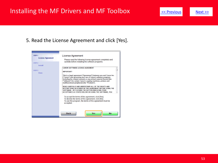## <span id="page-52-0"></span>Installing the MF Drivers and MF Toolbox  $\frac{1}{x}$  < Previous [Next >>](#page-53-0)

### 5. Read the License Agreement and click [Yes].

| STEP <sub>1</sub><br><b>License Agreement</b><br>STEP <sub>2</sub> | License Agreement<br>Please read the following license agreement completely and<br>carefully before installing the software programs.                                                                                                                                                                                                                                                                                                                                                                                                                                                                                                                                                                                                                                                                                |
|--------------------------------------------------------------------|----------------------------------------------------------------------------------------------------------------------------------------------------------------------------------------------------------------------------------------------------------------------------------------------------------------------------------------------------------------------------------------------------------------------------------------------------------------------------------------------------------------------------------------------------------------------------------------------------------------------------------------------------------------------------------------------------------------------------------------------------------------------------------------------------------------------|
| <b>Install</b><br>STEP <sub>3</sub><br>Done                        | <b>CANON SOFTWARE LICENSE AGREEMENT</b><br><b>IMPORTANT!</b><br>This is a legal agreement ("Agreement") between you and Canon Inc.<br>("Canon") and governing your use of Canon's software programs<br>including the related manuals or any printed material thereof (the<br>"Software") for certain Canon's copying machines, printers and<br>multifunctional peripherals (the "Products").<br>READ CAREFULLY AND UNDERSTAND ALL OF THE RIGHTS AND<br>RESTRICTIONS DESCRIBED IN THIS AGREEMENT BEFORE USING THE<br>SOFTWARE. BY CLICKING THE BUTTON INDICATING YOUR<br>ACCEPTANCE AS STATED BELOW OR USING THE SOFTWARE, YOU<br>To accept the terms of this agreement, click [Yes].<br>To decline the terms of this agreement, click [No].<br>To use this program, the terms of this agreement must be<br>accepted. |
|                                                                    | Back<br><b>Yes</b><br>No                                                                                                                                                                                                                                                                                                                                                                                                                                                                                                                                                                                                                                                                                                                                                                                             |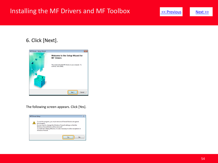## <span id="page-53-0"></span>Installing the MF Drivers and MF Toolbox  $\frac{1}{\leq \text{Previous}}$  [Next >>](#page-54-0)





The following screen appears. Click [Yes].

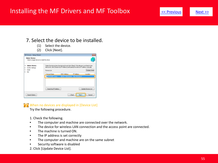### <span id="page-54-0"></span>Installing the MF Drivers and MF Toolbox  $\overline{\phantom{a}}$   $\overline{\phantom{a}}$   $\overline{\phantom{a}}$   $\overline{\phantom{a}}$   $\overline{\phantom{a}}$   $\overline{\phantom{a}}$   $\overline{\phantom{a}}$   $\overline{\phantom{a}}$   $\overline{\phantom{a}}$   $\overline{\phantom{a}}$   $\overline{\phantom{a}}$   $\overline{\phantom{a}}$   $\overline{\phantom{a}}$   $\overline{\phantom{a}}$   $\overline{\phantom{a}}$

#### 7. Select the device to be installed.

- (1) Select the device.
- (2) Click [Next].

| MF Drivers - Setup Wizard                                                    |                                                                                                                                                                                                    |                                                        |            |                           |
|------------------------------------------------------------------------------|----------------------------------------------------------------------------------------------------------------------------------------------------------------------------------------------------|--------------------------------------------------------|------------|---------------------------|
| <b>Select Device</b><br>Select a target device to install the driver.        |                                                                                                                                                                                                    |                                                        |            |                           |
| 1. Salect Device<br>Confirm Settings<br>z.<br><b>Install</b><br>R.<br>4 Felt | Select the device from the device list and click [Next]. If the device is not lated in the<br>device list, click [Search by IP Address] and specify the device IP address manually.<br>Device List |                                                        |            | Display Buide             |
|                                                                              | Davice Name                                                                                                                                                                                        | MAC Address                                            | IP Address | Location                  |
|                                                                              |                                                                                                                                                                                                    | 89 87-17 0D 26 0 8 1 1 1 1 1 88 222 87                 |            |                           |
|                                                                              | Searchby IP Address                                                                                                                                                                                |                                                        |            | <b>Update Device List</b> |
| Search Dption                                                                |                                                                                                                                                                                                    | <back< td=""><td>Next &gt;</td><td>Cancel</td></back<> | Next >     | Cancel                    |

When no devices are displayed in [Device List]

Try the following procedure.

1. Check the following.

- The computer and machine are connected over the network.
- The device for wireless LAN connection and the access point are connected.
- The machine is turned ON.
- The IP address is set correctly
- The computer and machine are on the same subnet
- Security software is disabled
- 2. Click [Update Device List].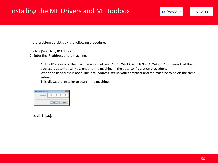## <span id="page-55-0"></span>Installing the MF Drivers and MF Toolbox  $\leq$  Previous [Next >>](#page-56-0)

If the problem persists, try the following procedure.

- 1. Click [Search by IP Address].
- 2. Enter the IP address of the machine.

\*If the IP address of the machine is set between "169.254.1.0 and 169.254.254.255", it means that the IP address is automatically assigned to the machine in the auto configuration procedure.

When the IP address is not a link-local address, set up your computer and the machine to be on the same subnet.

This allows the installer to search the machine.

| Search by IP Address |                               |
|----------------------|-------------------------------|
| IP Address:          | $192$ $. 168$ $. 0$ $.$<br>97 |
|                      |                               |
|                      |                               |
|                      |                               |

3. Click [OK].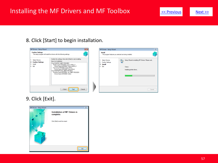### <span id="page-56-0"></span>Installing the MF Drivers and MF Toolbox  $\leq$  **Previous** [Next >>](#page-57-0)

### 8. Click [Start] to begin installation.





### 9. Click [Exit].

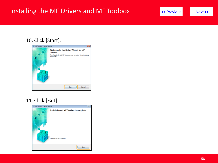## <span id="page-57-0"></span>Installing the MF Drivers and MF Toolbox **Exteriors Act Areal Angles** [Next >>](#page-58-0)





### 11. Click [Exit].

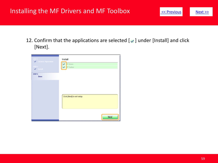## <span id="page-58-0"></span>Installing the MF Drivers and MF Toolbox  $\frac{\mathsf{R}}{\mathsf{S}}\leq \frac{\mathsf{Previous}}{\mathsf{N}}$

12. Confirm that the applications are selected  $[$   $\bullet$  ] under [Install] and click [Next].

| STEP 1<br>License Agreement<br>STEP 2<br>$\blacktriangleright$ Install | Install<br><b>F</b> Drivers<br><sup>IF</sup> Toolbox |
|------------------------------------------------------------------------|------------------------------------------------------|
| STEP 3<br>Done                                                         |                                                      |
|                                                                        | Click [Next] to exit setup.                          |
|                                                                        | Next                                                 |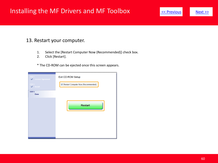### <span id="page-59-0"></span>Installing the MF Drivers and MF Toolbox  $\frac{1}{\leq \text{Previous}}$  [Next >>](#page-60-0)

#### 13. Restart your computer.

- 1. Select the [Restart Computer Now (Recommended)] check box.
- 2. Click [Restart].

\* The CD-ROM can be ejected once this screen appears.

| STEP 1<br><b>License Agreement</b><br>✓<br>$S$ TEP 2 $-$<br>$\blacktriangleright$ Install | Exit CD-ROM Setup<br>Restart Computer Now (Recommended): |  |
|-------------------------------------------------------------------------------------------|----------------------------------------------------------|--|
| STEP 3<br>Done                                                                            |                                                          |  |
|                                                                                           | <b>Restart</b>                                           |  |
|                                                                                           |                                                          |  |
|                                                                                           |                                                          |  |